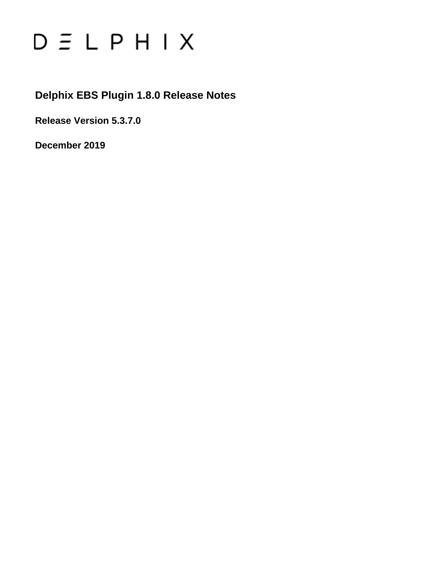# $D \subseteq L$   $P$   $H$   $I$   $X$

## **Delphix EBS Plugin 1.8.0 Release Notes**

**Release Version 5.3.7.0**

**December 2019**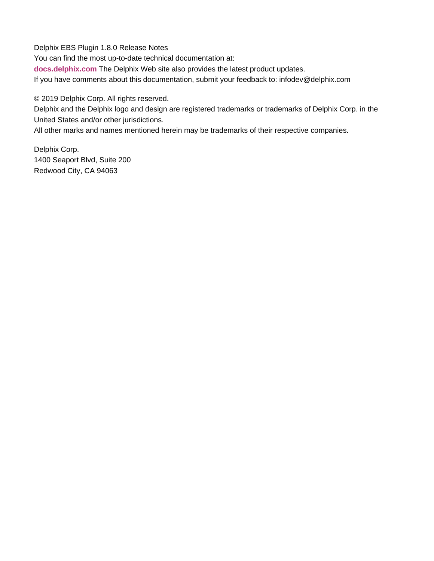Delphix EBS Plugin 1.8.0 Release Notes You can find the most up-to-date technical documentation at: **[docs.delphix.com](http://docs.delphix.com)** The Delphix Web site also provides the latest product updates. If you have comments about this documentation, submit your feedback to: infodev@delphix.com

© 2019 Delphix Corp. All rights reserved.

Delphix and the Delphix logo and design are registered trademarks or trademarks of Delphix Corp. in the United States and/or other jurisdictions.

All other marks and names mentioned herein may be trademarks of their respective companies.

Delphix Corp. 1400 Seaport Blvd, Suite 200 Redwood City, CA 94063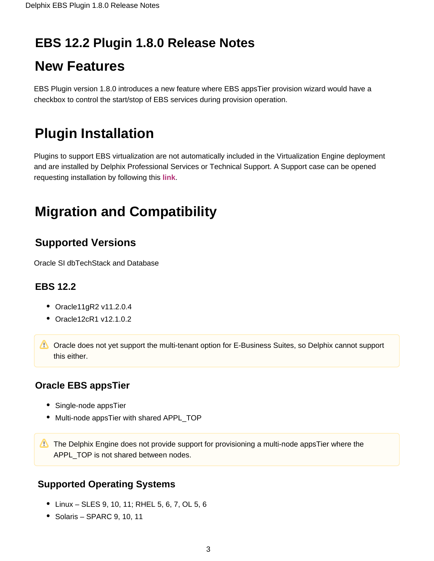## **EBS 12.2 Plugin 1.8.0 Release Notes**

# **New Features**

EBS Plugin version 1.8.0 introduces a new feature where EBS appsTier provision wizard would have a checkbox to control the start/stop of EBS services during provision operation.

# **Plugin Installation**

Plugins to support EBS virtualization are not automatically included in the Virtualization Engine deployment and are installed by Delphix Professional Services or Technical Support. A Support case can be opened requesting installation by following this **[link](http://support-tickets.delphix.com/)**.

# **Migration and Compatibility**

## **Supported Versions**

Oracle SI dbTechStack and Database

## **EBS 12.2**

- Oracle11gR2 v11.2.0.4
- Oracle12cR1 v12.1.0.2

**C** Oracle does not yet support the multi-tenant option for E-Business Suites, so Delphix cannot support this either.

## **Oracle EBS appsTier**

- Single-node appsTier
- Multi-node appsTier with shared APPL TOP

The Delphix Engine does not provide support for provisioning a multi-node appsTier where the APPL TOP is not shared between nodes.

## **Supported Operating Systems**

- Linux SLES 9, 10, 11; RHEL 5, 6, 7, OL 5, 6
- $\bullet$  Solaris SPARC 9, 10, 11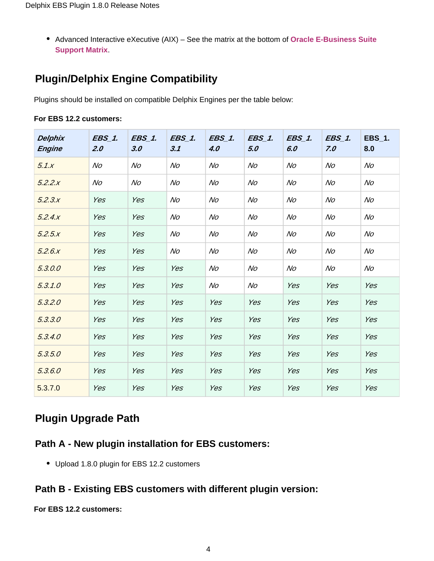Advanced Interactive eXecutive (AIX) – See the matrix at the bottom of **[Oracle E-Business Suite](https://docs.delphix.com/display/DOCSDEV/.EBS+Matrix+vKryptonMaint)  [Support Matrix](https://docs.delphix.com/display/DOCSDEV/.EBS+Matrix+vKryptonMaint)**.

## **Plugin/Delphix Engine Compatibility**

Plugins should be installed on compatible Delphix Engines per the table below:

| Delphix<br><b>Engine</b> | <b>EBS_1.</b><br>2.0 | $EBS_1$ .<br>3.0 | <b>EBS_1.</b><br>3.1 | <b>EBS_1.</b><br>4.0 | <b>EBS_1.</b><br>5.0 | <b>EBS_1.</b><br>6.0 | <b>EBS_1.</b><br>7.0 | EBS_1.<br>8.0 |
|--------------------------|----------------------|------------------|----------------------|----------------------|----------------------|----------------------|----------------------|---------------|
| 5.1.x                    | No                   | No               | No                   | No                   | No                   | No                   | No                   | No            |
| 5.2.2.x                  | No                   | No               | No                   | No                   | No                   | No                   | No                   | No            |
| 5.2.3.x                  | Yes                  | Yes              | No                   | No                   | No                   | No                   | No                   | No            |
| 5.2.4.x                  | Yes                  | Yes              | No                   | No                   | No                   | No                   | No                   | No            |
| 5.2.5x                   | Yes                  | Yes              | No                   | N <sub>O</sub>       | No                   | No                   | No                   | No            |
| 5.2.6x                   | Yes                  | Yes              | No                   | No                   | No                   | No                   | No                   | No            |
| 5.3.0.0                  | Yes                  | Yes              | Yes                  | No                   | N <sub>O</sub>       | No                   | No                   | No            |
| 5.3.1.0                  | Yes                  | Yes              | Yes                  | No                   | No                   | Yes                  | Yes                  | Yes           |
| 5.3.2.0                  | Yes                  | Yes              | Yes                  | Yes                  | Yes                  | Yes                  | Yes                  | Yes           |
| 5.3.3.0                  | Yes                  | Yes              | Yes                  | Yes                  | Yes                  | Yes                  | Yes                  | Yes           |
| 5.3.4.0                  | Yes                  | Yes              | Yes                  | Yes                  | Yes                  | Yes                  | Yes                  | Yes           |
| 5.3.5.0                  | Yes                  | Yes              | Yes                  | Yes                  | Yes                  | Yes                  | Yes                  | Yes           |
| 5.3.6.0                  | Yes                  | Yes              | Yes                  | Yes                  | Yes                  | Yes                  | Yes                  | Yes           |
| 5.3.7.0                  | Yes                  | Yes              | Yes                  | Yes                  | Yes                  | Yes                  | Yes                  | Yes           |

#### **For EBS 12.2 customers:**

## **Plugin Upgrade Path**

#### **Path A - New plugin installation for EBS customers:**

• Upload 1.8.0 plugin for EBS 12.2 customers

#### **Path B - Existing EBS customers with different plugin version:**

#### **For EBS 12.2 customers:**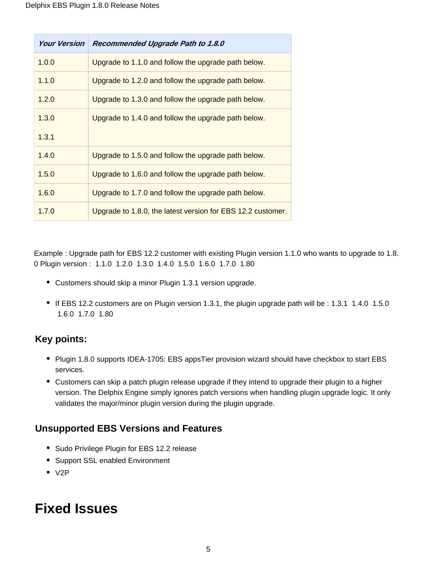| Your Version | Recommended Upgrade Path to 1.8.0                           |
|--------------|-------------------------------------------------------------|
| 1.0.0        | Upgrade to 1.1.0 and follow the upgrade path below.         |
| 1.1.0        | Upgrade to 1.2.0 and follow the upgrade path below.         |
| 1.2.0        | Upgrade to 1.3.0 and follow the upgrade path below.         |
| 1.3.0        | Upgrade to 1.4.0 and follow the upgrade path below.         |
| 1.3.1        |                                                             |
| 1.4.0        | Upgrade to 1.5.0 and follow the upgrade path below.         |
| 1.5.0        | Upgrade to 1.6.0 and follow the upgrade path below.         |
| 1.6.0        | Upgrade to 1.7.0 and follow the upgrade path below.         |
| 1.7.0        | Upgrade to 1.8.0, the latest version for EBS 12.2 customer. |

Example : Upgrade path for EBS 12.2 customer with existing Plugin version 1.1.0 who wants to upgrade to 1.8. 0 Plugin version : 1.1.0 1.2.0 1.3.0 1.4.0 1.5.0 1.6.0 1.7.0 1.80

- Customers should skip a minor Plugin 1.3.1 version upgrade.
- If EBS 12.2 customers are on Plugin version 1.3.1, the plugin upgrade path will be : 1.3.1 1.4.0 1.5.0 1.6.0 1.7.0 1.80

## **Key points:**

- Plugin 1.8.0 supports IDEA-1705: EBS appsTier provision wizard should have checkbox to start EBS services.
- Customers can skip a patch plugin release upgrade if they intend to upgrade their plugin to a higher version. The Delphix Engine simply ignores patch versions when handling plugin upgrade logic. It only validates the major/minor plugin version during the plugin upgrade.

## **Unsupported EBS Versions and Features**

- Sudo Privilege Plugin for EBS 12.2 release
- Support SSL enabled Environment
- $\bullet$  V<sub>2</sub>P

# **Fixed Issues**